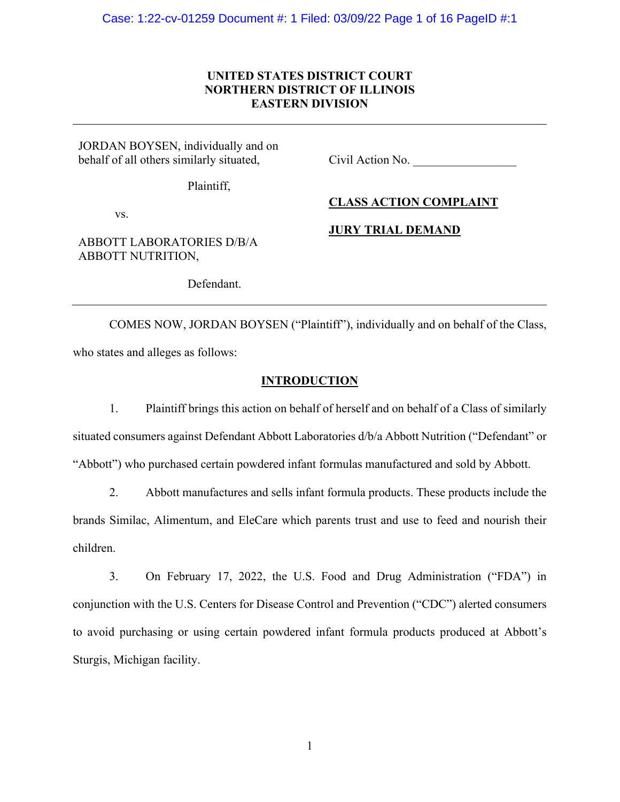# **UNITED STATES DISTRICT COURT NORTHERN DISTRICT OF ILLINOIS EASTERN DIVISION**

JORDAN BOYSEN, individually and on behalf of all others similarly situated,

Civil Action No.

Plaintiff,

**CLASS ACTION COMPLAINT**

vs.

# **JURY TRIAL DEMAND**

ABBOTT LABORATORIES D/B/A ABBOTT NUTRITION,

Defendant.

COMES NOW, JORDAN BOYSEN ("Plaintiff"), individually and on behalf of the Class, who states and alleges as follows:

## **INTRODUCTION**

1. Plaintiff brings this action on behalf of herself and on behalf of a Class of similarly situated consumers against Defendant Abbott Laboratories d/b/a Abbott Nutrition ("Defendant" or "Abbott") who purchased certain powdered infant formulas manufactured and sold by Abbott.

2. Abbott manufactures and sells infant formula products. These products include the brands Similac, Alimentum, and EleCare which parents trust and use to feed and nourish their children.

3. On February 17, 2022, the U.S. Food and Drug Administration ("FDA") in conjunction with the U.S. Centers for Disease Control and Prevention ("CDC") alerted consumers to avoid purchasing or using certain powdered infant formula products produced at Abbott's Sturgis, Michigan facility.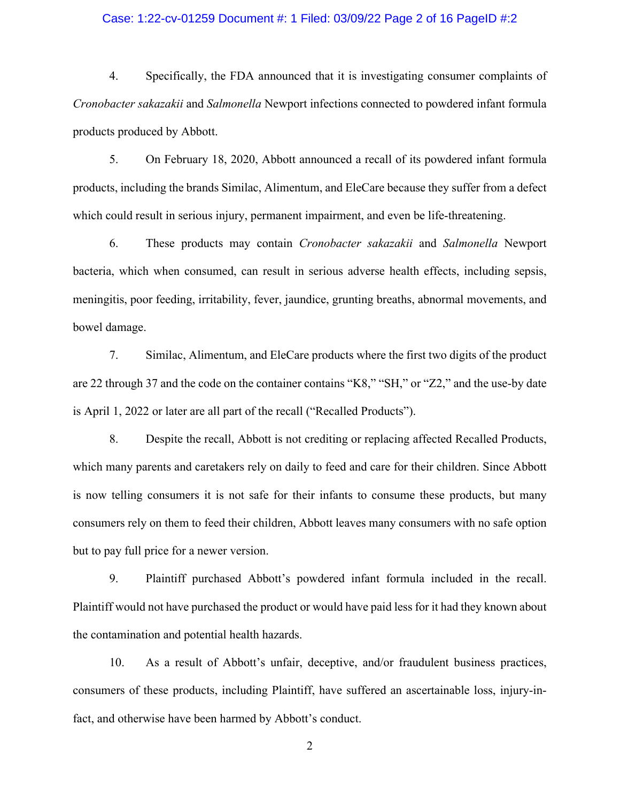### Case: 1:22-cv-01259 Document #: 1 Filed: 03/09/22 Page 2 of 16 PageID #:2

4. Specifically, the FDA announced that it is investigating consumer complaints of *Cronobacter sakazakii* and *Salmonella* Newport infections connected to powdered infant formula products produced by Abbott.

5. On February 18, 2020, Abbott announced a recall of its powdered infant formula products, including the brands Similac, Alimentum, and EleCare because they suffer from a defect which could result in serious injury, permanent impairment, and even be life-threatening.

6. These products may contain *Cronobacter sakazakii* and *Salmonella* Newport bacteria, which when consumed, can result in serious adverse health effects, including sepsis, meningitis, poor feeding, irritability, fever, jaundice, grunting breaths, abnormal movements, and bowel damage.

7. Similac, Alimentum, and EleCare products where the first two digits of the product are 22 through 37 and the code on the container contains "K8," "SH," or "Z2," and the use-by date is April 1, 2022 or later are all part of the recall ("Recalled Products").

8. Despite the recall, Abbott is not crediting or replacing affected Recalled Products, which many parents and caretakers rely on daily to feed and care for their children. Since Abbott is now telling consumers it is not safe for their infants to consume these products, but many consumers rely on them to feed their children, Abbott leaves many consumers with no safe option but to pay full price for a newer version.

9. Plaintiff purchased Abbott's powdered infant formula included in the recall. Plaintiff would not have purchased the product or would have paid less for it had they known about the contamination and potential health hazards.

10. As a result of Abbott's unfair, deceptive, and/or fraudulent business practices, consumers of these products, including Plaintiff, have suffered an ascertainable loss, injury-infact, and otherwise have been harmed by Abbott's conduct.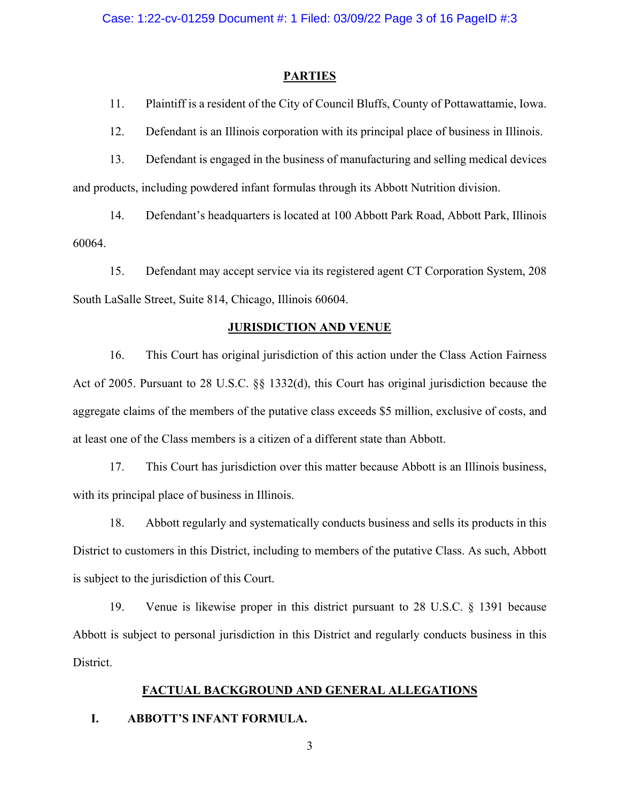#### **PARTIES**

11. Plaintiff is a resident of the City of Council Bluffs, County of Pottawattamie, Iowa.

12. Defendant is an Illinois corporation with its principal place of business in Illinois.

13. Defendant is engaged in the business of manufacturing and selling medical devices and products, including powdered infant formulas through its Abbott Nutrition division.

14. Defendant's headquarters is located at 100 Abbott Park Road, Abbott Park, Illinois 60064.

15. Defendant may accept service via its registered agent CT Corporation System, 208 South LaSalle Street, Suite 814, Chicago, Illinois 60604.

#### **JURISDICTION AND VENUE**

16. This Court has original jurisdiction of this action under the Class Action Fairness Act of 2005. Pursuant to 28 U.S.C. §§ 1332(d), this Court has original jurisdiction because the aggregate claims of the members of the putative class exceeds \$5 million, exclusive of costs, and at least one of the Class members is a citizen of a different state than Abbott.

17. This Court has jurisdiction over this matter because Abbott is an Illinois business, with its principal place of business in Illinois.

18. Abbott regularly and systematically conducts business and sells its products in this District to customers in this District, including to members of the putative Class. As such, Abbott is subject to the jurisdiction of this Court.

19. Venue is likewise proper in this district pursuant to 28 U.S.C. § 1391 because Abbott is subject to personal jurisdiction in this District and regularly conducts business in this District.

#### **FACTUAL BACKGROUND AND GENERAL ALLEGATIONS**

# **I. ABBOTT'S INFANT FORMULA.**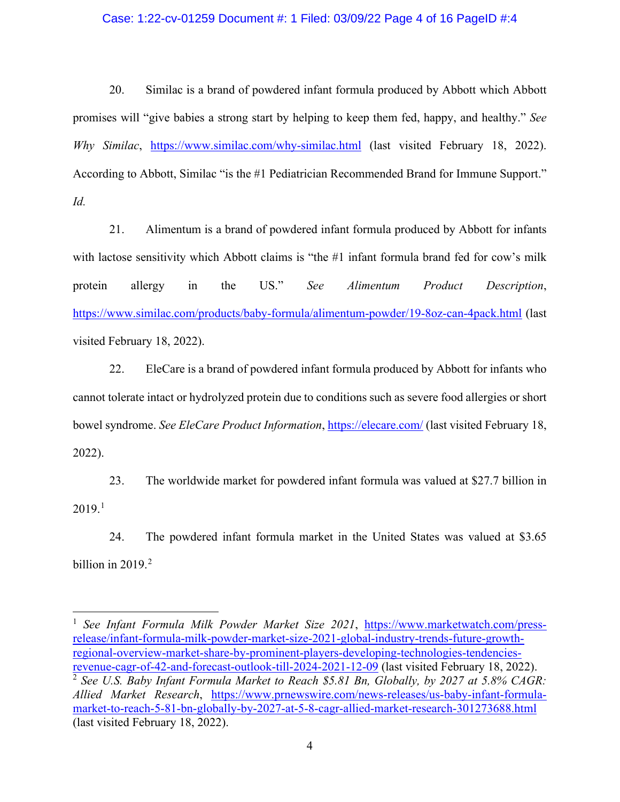## Case: 1:22-cv-01259 Document #: 1 Filed: 03/09/22 Page 4 of 16 PageID #:4

20. Similac is a brand of powdered infant formula produced by Abbott which Abbott promises will "give babies a strong start by helping to keep them fed, happy, and healthy." *See Why Similac*, <https://www.similac.com/why-similac.html> (last visited February 18, 2022). According to Abbott, Similac "is the #1 Pediatrician Recommended Brand for Immune Support." *Id.*

21. Alimentum is a brand of powdered infant formula produced by Abbott for infants with lactose sensitivity which Abbott claims is "the #1 infant formula brand fed for cow's milk protein allergy in the US." *See Alimentum Product Description*, <https://www.similac.com/products/baby-formula/alimentum-powder/19-8oz-can-4pack.html> (last visited February 18, 2022).

22. EleCare is a brand of powdered infant formula produced by Abbott for infants who cannot tolerate intact or hydrolyzed protein due to conditions such as severe food allergies or short bowel syndrome. *See EleCare Product Information*,<https://elecare.com/> (last visited February 18, 2022).

23. The worldwide market for powdered infant formula was valued at \$27.7 billion in  $2019.<sup>1</sup>$  $2019.<sup>1</sup>$  $2019.<sup>1</sup>$ 

24. The powdered infant formula market in the United States was valued at \$3.65 billion in  $2019.<sup>2</sup>$  $2019.<sup>2</sup>$ 

<span id="page-3-1"></span><span id="page-3-0"></span><sup>&</sup>lt;sup>1</sup> See Infant Formula Milk Powder Market Size 2021, [https://www.marketwatch.com/press](https://www.marketwatch.com/press-release/infant-formula-milk-powder-market-size-2021-global-industry-trends-future-growth-regional-overview-market-share-by-prominent-players-developing-technologies-tendencies-revenue-cagr-of-42-and-forecast-outlook-till-2024-2021-12-09)[release/infant-formula-milk-powder-market-size-2021-global-industry-trends-future-growth](https://www.marketwatch.com/press-release/infant-formula-milk-powder-market-size-2021-global-industry-trends-future-growth-regional-overview-market-share-by-prominent-players-developing-technologies-tendencies-revenue-cagr-of-42-and-forecast-outlook-till-2024-2021-12-09)[regional-overview-market-share-by-prominent-players-developing-technologies-tendencies](https://www.marketwatch.com/press-release/infant-formula-milk-powder-market-size-2021-global-industry-trends-future-growth-regional-overview-market-share-by-prominent-players-developing-technologies-tendencies-revenue-cagr-of-42-and-forecast-outlook-till-2024-2021-12-09)[revenue-cagr-of-42-and-forecast-outlook-till-2024-2021-12-09](https://www.marketwatch.com/press-release/infant-formula-milk-powder-market-size-2021-global-industry-trends-future-growth-regional-overview-market-share-by-prominent-players-developing-technologies-tendencies-revenue-cagr-of-42-and-forecast-outlook-till-2024-2021-12-09) (last visited February 18, 2022). <sup>2</sup> *See U.S. Baby Infant Formula Market to Reach \$5.81 Bn, Globally, by 2027 at 5.8% CAGR: Allied Market Research*, [https://www.prnewswire.com/news-releases/us-baby-infant-formula](https://www.prnewswire.com/news-releases/us-baby-infant-formula-market-to-reach-5-81-bn-globally-by-2027-at-5-8-cagr-allied-market-research-301273688.html)[market-to-reach-5-81-bn-globally-by-2027-at-5-8-cagr-allied-market-research-301273688.html](https://www.prnewswire.com/news-releases/us-baby-infant-formula-market-to-reach-5-81-bn-globally-by-2027-at-5-8-cagr-allied-market-research-301273688.html) (last visited February 18, 2022).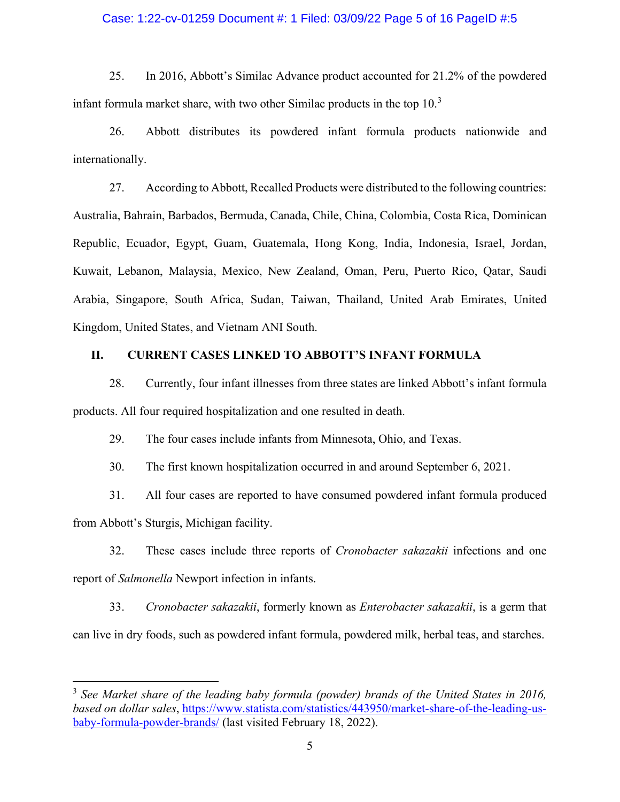## Case: 1:22-cv-01259 Document #: 1 Filed: 03/09/22 Page 5 of 16 PageID #:5

25. In 2016, Abbott's Similac Advance product accounted for 21.2% of the powdered infant formula market share, with two other Similac products in the top  $10<sup>3</sup>$  $10<sup>3</sup>$  $10<sup>3</sup>$ 

26. Abbott distributes its powdered infant formula products nationwide and internationally.

27. According to Abbott, Recalled Products were distributed to the following countries: Australia, Bahrain, Barbados, Bermuda, Canada, Chile, China, Colombia, Costa Rica, Dominican Republic, Ecuador, Egypt, Guam, Guatemala, Hong Kong, India, Indonesia, Israel, Jordan, Kuwait, Lebanon, Malaysia, Mexico, New Zealand, Oman, Peru, Puerto Rico, Qatar, Saudi Arabia, Singapore, South Africa, Sudan, Taiwan, Thailand, United Arab Emirates, United Kingdom, United States, and Vietnam ANI South.

## **II. CURRENT CASES LINKED TO ABBOTT'S INFANT FORMULA**

28. Currently, four infant illnesses from three states are linked Abbott's infant formula products. All four required hospitalization and one resulted in death.

29. The four cases include infants from Minnesota, Ohio, and Texas.

30. The first known hospitalization occurred in and around September 6, 2021.

31. All four cases are reported to have consumed powdered infant formula produced from Abbott's Sturgis, Michigan facility.

32. These cases include three reports of *Cronobacter sakazakii* infections and one report of *Salmonella* Newport infection in infants.

33. *Cronobacter sakazakii*, formerly known as *Enterobacter sakazakii*, is a germ that can live in dry foods, such as powdered infant formula, powdered milk, herbal teas, and starches.

<span id="page-4-0"></span><sup>3</sup> *See Market share of the leading baby formula (powder) brands of the United States in 2016, based on dollar sales*, [https://www.statista.com/statistics/443950/market-share-of-the-leading-us](https://www.statista.com/statistics/443950/market-share-of-the-leading-us-baby-formula-powder-brands/)[baby-formula-powder-brands/](https://www.statista.com/statistics/443950/market-share-of-the-leading-us-baby-formula-powder-brands/) (last visited February 18, 2022).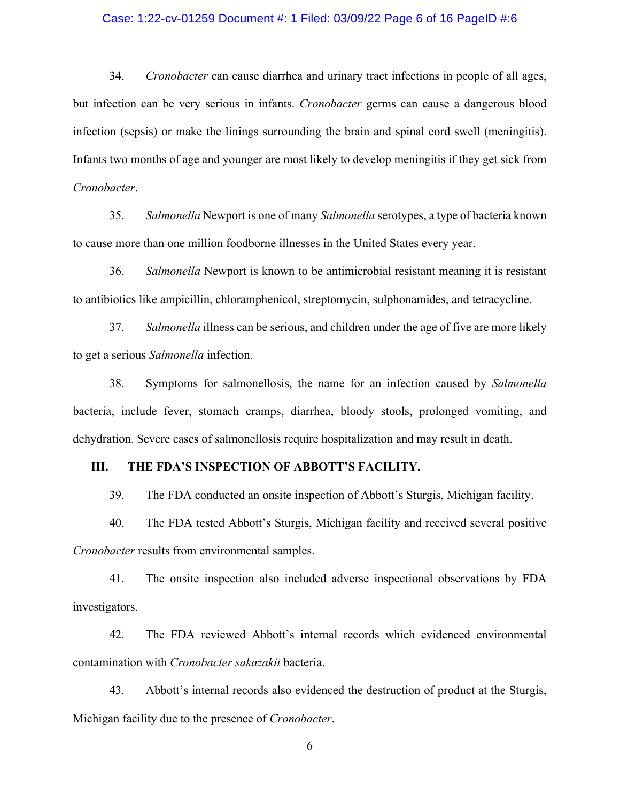#### Case: 1:22-cv-01259 Document #: 1 Filed: 03/09/22 Page 6 of 16 PageID #:6

34. *Cronobacter* can cause diarrhea and urinary tract infections in people of all ages, but infection can be very serious in infants. *Cronobacter* germs can cause a dangerous blood infection (sepsis) or make the linings surrounding the brain and spinal cord swell (meningitis). Infants two months of age and younger are most likely to develop meningitis if they get sick from *Cronobacter*.

35. *Salmonella* Newport is one of many *Salmonella* serotypes, a type of bacteria known to cause more than one million foodborne illnesses in the United States every year.

36. *Salmonella* Newport is known to be antimicrobial resistant meaning it is resistant to antibiotics like ampicillin, chloramphenicol, streptomycin, sulphonamides, and tetracycline.

37. *Salmonella* illness can be serious, and children under the age of five are more likely to get a serious *Salmonella* infection.

38. Symptoms for salmonellosis, the name for an infection caused by *Salmonella* bacteria, include fever, stomach cramps, diarrhea, bloody stools, prolonged vomiting, and dehydration. Severe cases of salmonellosis require hospitalization and may result in death.

## **III. THE FDA'S INSPECTION OF ABBOTT'S FACILITY.**

39. The FDA conducted an onsite inspection of Abbott's Sturgis, Michigan facility.

40. The FDA tested Abbott's Sturgis, Michigan facility and received several positive *Cronobacter* results from environmental samples.

41. The onsite inspection also included adverse inspectional observations by FDA investigators.

42. The FDA reviewed Abbott's internal records which evidenced environmental contamination with *Cronobacter sakazakii* bacteria.

43. Abbott's internal records also evidenced the destruction of product at the Sturgis, Michigan facility due to the presence of *Cronobacter*.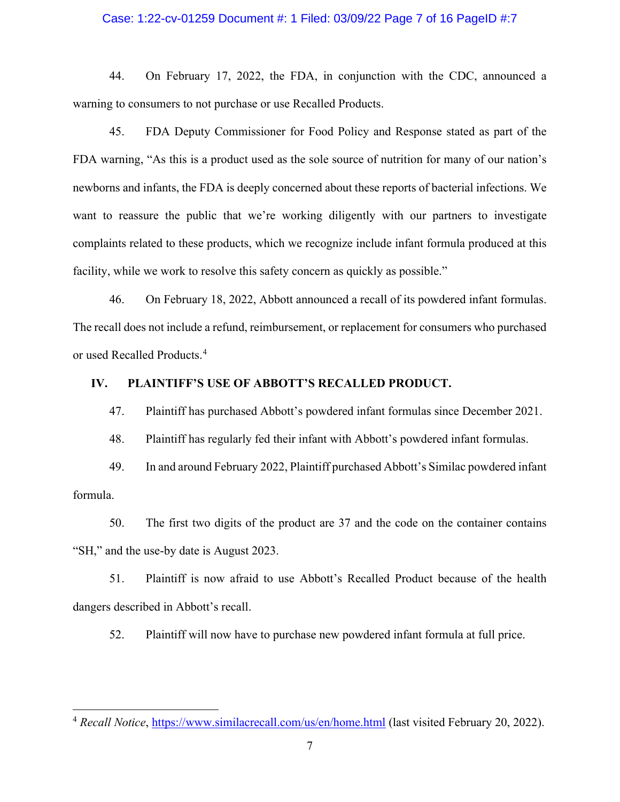#### Case: 1:22-cv-01259 Document #: 1 Filed: 03/09/22 Page 7 of 16 PageID #:7

44. On February 17, 2022, the FDA, in conjunction with the CDC, announced a warning to consumers to not purchase or use Recalled Products.

45. FDA Deputy Commissioner for Food Policy and Response stated as part of the FDA warning, "As this is a product used as the sole source of nutrition for many of our nation's newborns and infants, the FDA is deeply concerned about these reports of bacterial infections. We want to reassure the public that we're working diligently with our partners to investigate complaints related to these products, which we recognize include infant formula produced at this facility, while we work to resolve this safety concern as quickly as possible."

46. On February 18, 2022, Abbott announced a recall of its powdered infant formulas. The recall does not include a refund, reimbursement, or replacement for consumers who purchased or used Recalled Products.[4](#page-6-0)

#### **IV. PLAINTIFF'S USE OF ABBOTT'S RECALLED PRODUCT.**

47. Plaintiff has purchased Abbott's powdered infant formulas since December 2021.

48. Plaintiff has regularly fed their infant with Abbott's powdered infant formulas.

49. In and around February 2022, Plaintiff purchased Abbott's Similac powdered infant formula.

50. The first two digits of the product are 37 and the code on the container contains "SH," and the use-by date is August 2023.

51. Plaintiff is now afraid to use Abbott's Recalled Product because of the health dangers described in Abbott's recall.

52. Plaintiff will now have to purchase new powdered infant formula at full price.

<span id="page-6-0"></span><sup>4</sup> *Recall Notice*,<https://www.similacrecall.com/us/en/home.html>(last visited February 20, 2022).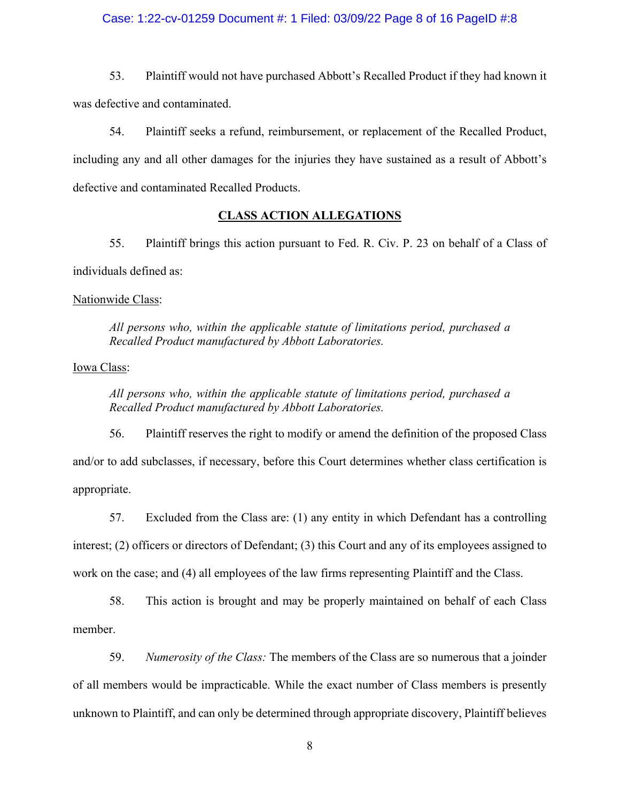## Case: 1:22-cv-01259 Document #: 1 Filed: 03/09/22 Page 8 of 16 PageID #:8

53. Plaintiff would not have purchased Abbott's Recalled Product if they had known it was defective and contaminated.

54. Plaintiff seeks a refund, reimbursement, or replacement of the Recalled Product, including any and all other damages for the injuries they have sustained as a result of Abbott's defective and contaminated Recalled Products.

#### **CLASS ACTION ALLEGATIONS**

55. Plaintiff brings this action pursuant to Fed. R. Civ. P. 23 on behalf of a Class of individuals defined as:

# Nationwide Class:

*All persons who, within the applicable statute of limitations period, purchased a Recalled Product manufactured by Abbott Laboratories.* 

# Iowa Class:

*All persons who, within the applicable statute of limitations period, purchased a Recalled Product manufactured by Abbott Laboratories.* 

56. Plaintiff reserves the right to modify or amend the definition of the proposed Class and/or to add subclasses, if necessary, before this Court determines whether class certification is appropriate.

57. Excluded from the Class are: (1) any entity in which Defendant has a controlling interest; (2) officers or directors of Defendant; (3) this Court and any of its employees assigned to work on the case; and (4) all employees of the law firms representing Plaintiff and the Class.

58. This action is brought and may be properly maintained on behalf of each Class member.

59. *Numerosity of the Class:* The members of the Class are so numerous that a joinder of all members would be impracticable. While the exact number of Class members is presently unknown to Plaintiff, and can only be determined through appropriate discovery, Plaintiff believes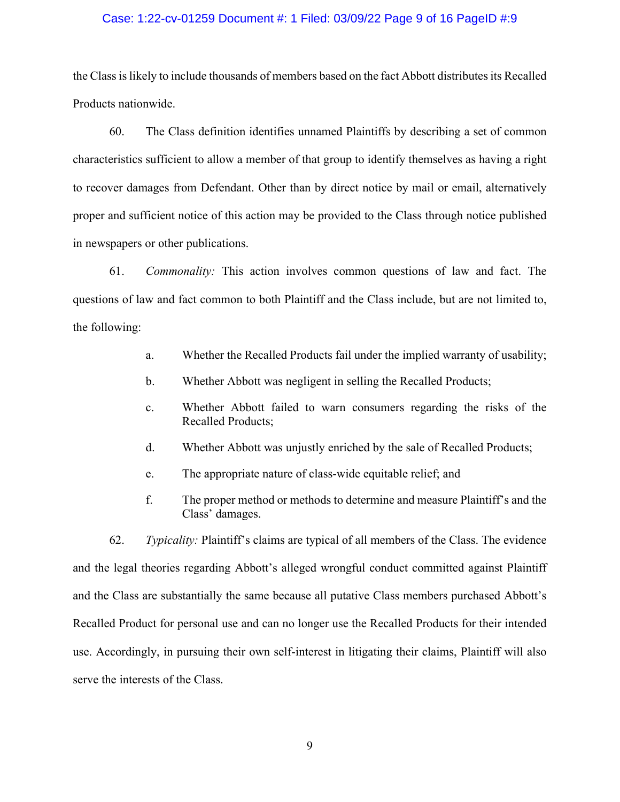#### Case: 1:22-cv-01259 Document #: 1 Filed: 03/09/22 Page 9 of 16 PageID #:9

the Class is likely to include thousands of members based on the fact Abbott distributes its Recalled Products nationwide.

60. The Class definition identifies unnamed Plaintiffs by describing a set of common characteristics sufficient to allow a member of that group to identify themselves as having a right to recover damages from Defendant. Other than by direct notice by mail or email, alternatively proper and sufficient notice of this action may be provided to the Class through notice published in newspapers or other publications.

61. *Commonality:* This action involves common questions of law and fact. The questions of law and fact common to both Plaintiff and the Class include, but are not limited to, the following:

- a. Whether the Recalled Products fail under the implied warranty of usability;
- b. Whether Abbott was negligent in selling the Recalled Products;
- c. Whether Abbott failed to warn consumers regarding the risks of the Recalled Products;
- d. Whether Abbott was unjustly enriched by the sale of Recalled Products;
- e. The appropriate nature of class-wide equitable relief; and
- f. The proper method or methods to determine and measure Plaintiff's and the Class' damages.

62. *Typicality:* Plaintiff's claims are typical of all members of the Class. The evidence and the legal theories regarding Abbott's alleged wrongful conduct committed against Plaintiff and the Class are substantially the same because all putative Class members purchased Abbott's Recalled Product for personal use and can no longer use the Recalled Products for their intended use. Accordingly, in pursuing their own self-interest in litigating their claims, Plaintiff will also serve the interests of the Class.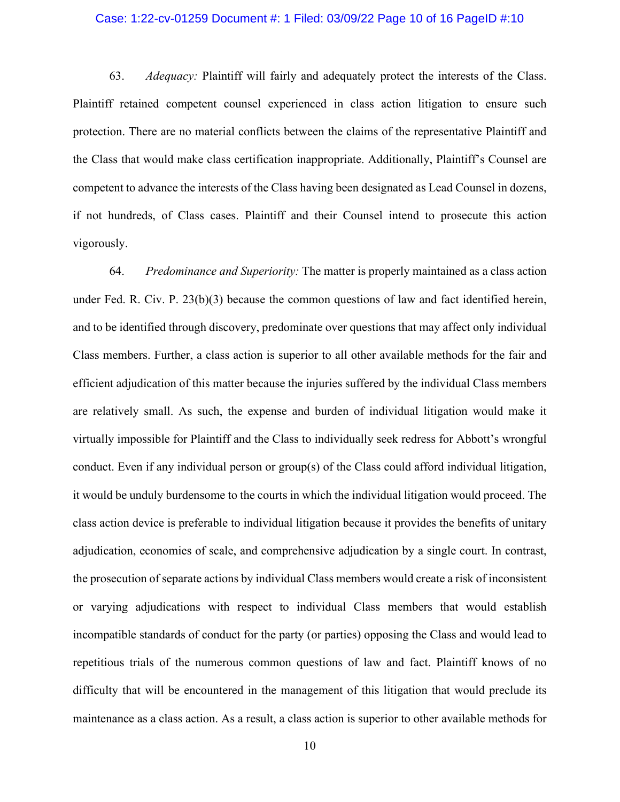#### Case: 1:22-cv-01259 Document #: 1 Filed: 03/09/22 Page 10 of 16 PageID #:10

63. *Adequacy:* Plaintiff will fairly and adequately protect the interests of the Class. Plaintiff retained competent counsel experienced in class action litigation to ensure such protection. There are no material conflicts between the claims of the representative Plaintiff and the Class that would make class certification inappropriate. Additionally, Plaintiff's Counsel are competent to advance the interests of the Class having been designated as Lead Counsel in dozens, if not hundreds, of Class cases. Plaintiff and their Counsel intend to prosecute this action vigorously.

64. *Predominance and Superiority:* The matter is properly maintained as a class action under Fed. R. Civ. P.  $23(b)(3)$  because the common questions of law and fact identified herein, and to be identified through discovery, predominate over questions that may affect only individual Class members. Further, a class action is superior to all other available methods for the fair and efficient adjudication of this matter because the injuries suffered by the individual Class members are relatively small. As such, the expense and burden of individual litigation would make it virtually impossible for Plaintiff and the Class to individually seek redress for Abbott's wrongful conduct. Even if any individual person or group(s) of the Class could afford individual litigation, it would be unduly burdensome to the courts in which the individual litigation would proceed. The class action device is preferable to individual litigation because it provides the benefits of unitary adjudication, economies of scale, and comprehensive adjudication by a single court. In contrast, the prosecution of separate actions by individual Class members would create a risk of inconsistent or varying adjudications with respect to individual Class members that would establish incompatible standards of conduct for the party (or parties) opposing the Class and would lead to repetitious trials of the numerous common questions of law and fact. Plaintiff knows of no difficulty that will be encountered in the management of this litigation that would preclude its maintenance as a class action. As a result, a class action is superior to other available methods for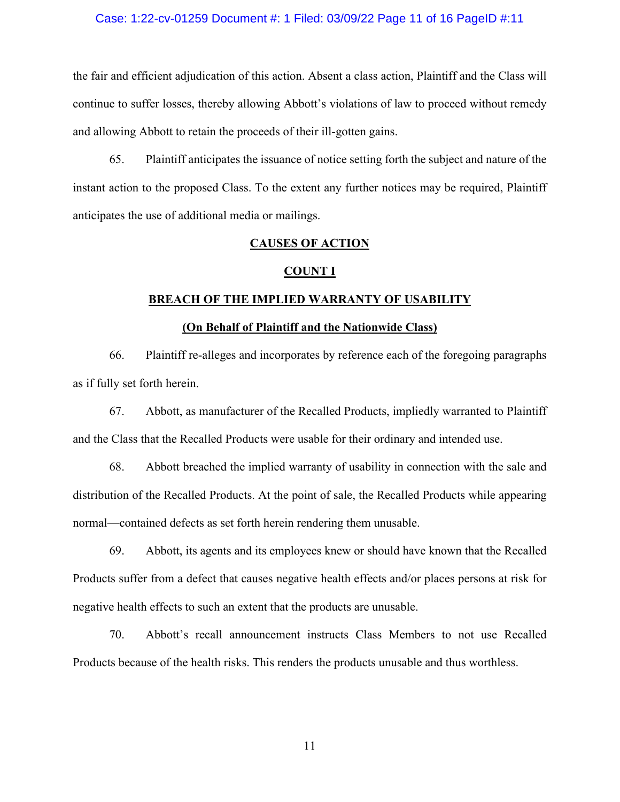#### Case: 1:22-cv-01259 Document #: 1 Filed: 03/09/22 Page 11 of 16 PageID #:11

the fair and efficient adjudication of this action. Absent a class action, Plaintiff and the Class will continue to suffer losses, thereby allowing Abbott's violations of law to proceed without remedy and allowing Abbott to retain the proceeds of their ill-gotten gains.

65. Plaintiff anticipates the issuance of notice setting forth the subject and nature of the instant action to the proposed Class. To the extent any further notices may be required, Plaintiff anticipates the use of additional media or mailings.

#### **CAUSES OF ACTION**

#### **COUNT I**

## **BREACH OF THE IMPLIED WARRANTY OF USABILITY**

#### **(On Behalf of Plaintiff and the Nationwide Class)**

66. Plaintiff re-alleges and incorporates by reference each of the foregoing paragraphs as if fully set forth herein.

67. Abbott, as manufacturer of the Recalled Products, impliedly warranted to Plaintiff and the Class that the Recalled Products were usable for their ordinary and intended use.

68. Abbott breached the implied warranty of usability in connection with the sale and distribution of the Recalled Products. At the point of sale, the Recalled Products while appearing normal—contained defects as set forth herein rendering them unusable.

69. Abbott, its agents and its employees knew or should have known that the Recalled Products suffer from a defect that causes negative health effects and/or places persons at risk for negative health effects to such an extent that the products are unusable.

70. Abbott's recall announcement instructs Class Members to not use Recalled Products because of the health risks. This renders the products unusable and thus worthless.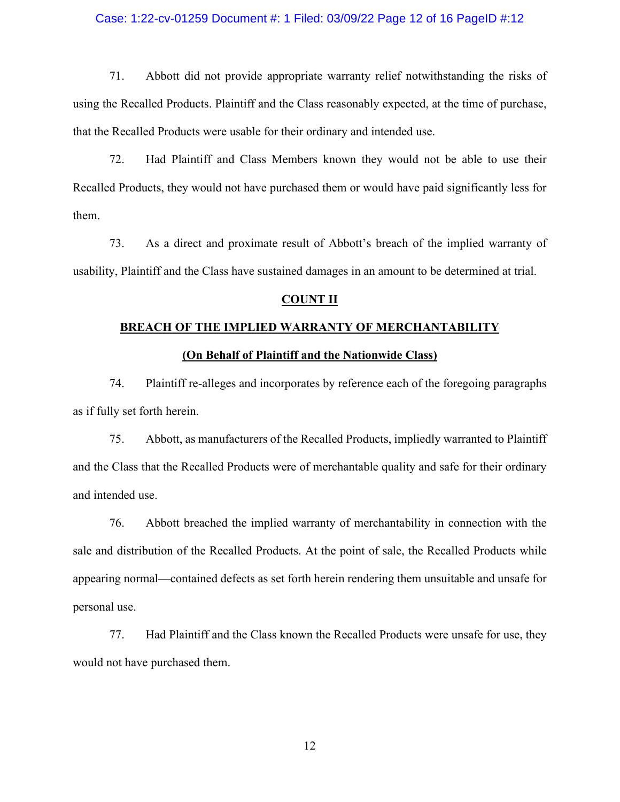## Case: 1:22-cv-01259 Document #: 1 Filed: 03/09/22 Page 12 of 16 PageID #:12

71. Abbott did not provide appropriate warranty relief notwithstanding the risks of using the Recalled Products. Plaintiff and the Class reasonably expected, at the time of purchase, that the Recalled Products were usable for their ordinary and intended use.

72. Had Plaintiff and Class Members known they would not be able to use their Recalled Products, they would not have purchased them or would have paid significantly less for them.

73. As a direct and proximate result of Abbott's breach of the implied warranty of usability, Plaintiff and the Class have sustained damages in an amount to be determined at trial.

### **COUNT II**

#### **BREACH OF THE IMPLIED WARRANTY OF MERCHANTABILITY**

## **(On Behalf of Plaintiff and the Nationwide Class)**

74. Plaintiff re-alleges and incorporates by reference each of the foregoing paragraphs as if fully set forth herein.

75. Abbott, as manufacturers of the Recalled Products, impliedly warranted to Plaintiff and the Class that the Recalled Products were of merchantable quality and safe for their ordinary and intended use.

76. Abbott breached the implied warranty of merchantability in connection with the sale and distribution of the Recalled Products. At the point of sale, the Recalled Products while appearing normal—contained defects as set forth herein rendering them unsuitable and unsafe for personal use.

77. Had Plaintiff and the Class known the Recalled Products were unsafe for use, they would not have purchased them.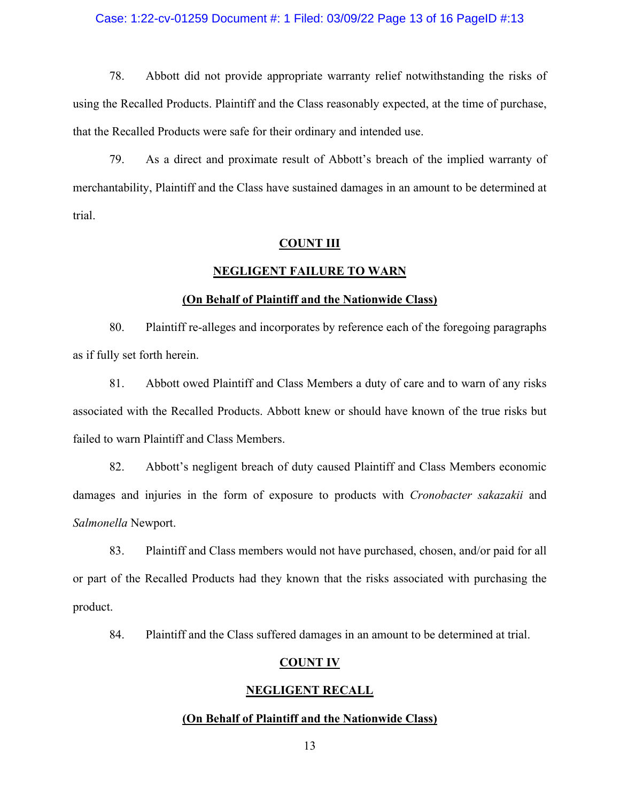## Case: 1:22-cv-01259 Document #: 1 Filed: 03/09/22 Page 13 of 16 PageID #:13

78. Abbott did not provide appropriate warranty relief notwithstanding the risks of using the Recalled Products. Plaintiff and the Class reasonably expected, at the time of purchase, that the Recalled Products were safe for their ordinary and intended use.

79. As a direct and proximate result of Abbott's breach of the implied warranty of merchantability, Plaintiff and the Class have sustained damages in an amount to be determined at trial.

#### **COUNT III**

#### **NEGLIGENT FAILURE TO WARN**

#### **(On Behalf of Plaintiff and the Nationwide Class)**

80. Plaintiff re-alleges and incorporates by reference each of the foregoing paragraphs as if fully set forth herein.

81. Abbott owed Plaintiff and Class Members a duty of care and to warn of any risks associated with the Recalled Products. Abbott knew or should have known of the true risks but failed to warn Plaintiff and Class Members.

82. Abbott's negligent breach of duty caused Plaintiff and Class Members economic damages and injuries in the form of exposure to products with *Cronobacter sakazakii* and *Salmonella* Newport.

83. Plaintiff and Class members would not have purchased, chosen, and/or paid for all or part of the Recalled Products had they known that the risks associated with purchasing the product.

84. Plaintiff and the Class suffered damages in an amount to be determined at trial.

### **COUNT IV**

## **NEGLIGENT RECALL**

#### **(On Behalf of Plaintiff and the Nationwide Class)**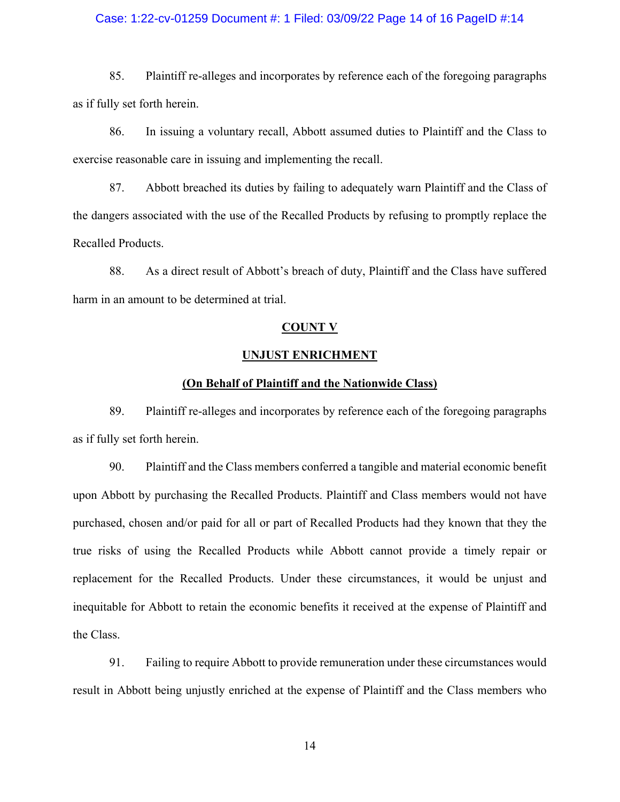## Case: 1:22-cv-01259 Document #: 1 Filed: 03/09/22 Page 14 of 16 PageID #:14

85. Plaintiff re-alleges and incorporates by reference each of the foregoing paragraphs as if fully set forth herein.

86. In issuing a voluntary recall, Abbott assumed duties to Plaintiff and the Class to exercise reasonable care in issuing and implementing the recall.

87. Abbott breached its duties by failing to adequately warn Plaintiff and the Class of the dangers associated with the use of the Recalled Products by refusing to promptly replace the Recalled Products.

88. As a direct result of Abbott's breach of duty, Plaintiff and the Class have suffered harm in an amount to be determined at trial.

#### **COUNT V**

### **UNJUST ENRICHMENT**

## **(On Behalf of Plaintiff and the Nationwide Class)**

89. Plaintiff re-alleges and incorporates by reference each of the foregoing paragraphs as if fully set forth herein.

90. Plaintiff and the Class members conferred a tangible and material economic benefit upon Abbott by purchasing the Recalled Products. Plaintiff and Class members would not have purchased, chosen and/or paid for all or part of Recalled Products had they known that they the true risks of using the Recalled Products while Abbott cannot provide a timely repair or replacement for the Recalled Products. Under these circumstances, it would be unjust and inequitable for Abbott to retain the economic benefits it received at the expense of Plaintiff and the Class.

91. Failing to require Abbott to provide remuneration under these circumstances would result in Abbott being unjustly enriched at the expense of Plaintiff and the Class members who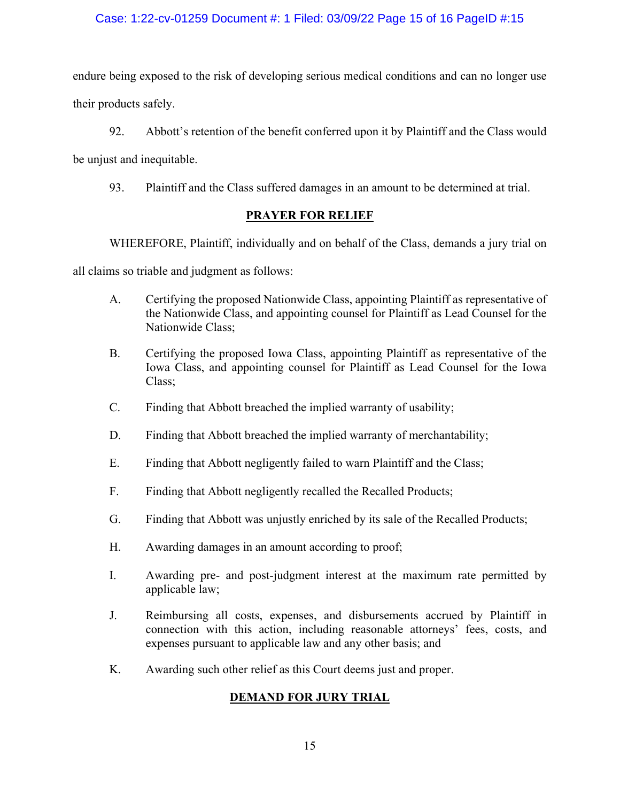# Case: 1:22-cv-01259 Document #: 1 Filed: 03/09/22 Page 15 of 16 PageID #:15

endure being exposed to the risk of developing serious medical conditions and can no longer use their products safely.

92. Abbott's retention of the benefit conferred upon it by Plaintiff and the Class would be unjust and inequitable.

93. Plaintiff and the Class suffered damages in an amount to be determined at trial.

# **PRAYER FOR RELIEF**

WHEREFORE, Plaintiff, individually and on behalf of the Class, demands a jury trial on

all claims so triable and judgment as follows:

- A. Certifying the proposed Nationwide Class, appointing Plaintiff as representative of the Nationwide Class, and appointing counsel for Plaintiff as Lead Counsel for the Nationwide Class;
- B. Certifying the proposed Iowa Class, appointing Plaintiff as representative of the Iowa Class, and appointing counsel for Plaintiff as Lead Counsel for the Iowa Class;
- C. Finding that Abbott breached the implied warranty of usability;
- D. Finding that Abbott breached the implied warranty of merchantability;
- E. Finding that Abbott negligently failed to warn Plaintiff and the Class;
- F. Finding that Abbott negligently recalled the Recalled Products;
- G. Finding that Abbott was unjustly enriched by its sale of the Recalled Products;
- H. Awarding damages in an amount according to proof;
- I. Awarding pre- and post-judgment interest at the maximum rate permitted by applicable law;
- J. Reimbursing all costs, expenses, and disbursements accrued by Plaintiff in connection with this action, including reasonable attorneys' fees, costs, and expenses pursuant to applicable law and any other basis; and
- K. Awarding such other relief as this Court deems just and proper.

# **DEMAND FOR JURY TRIAL**